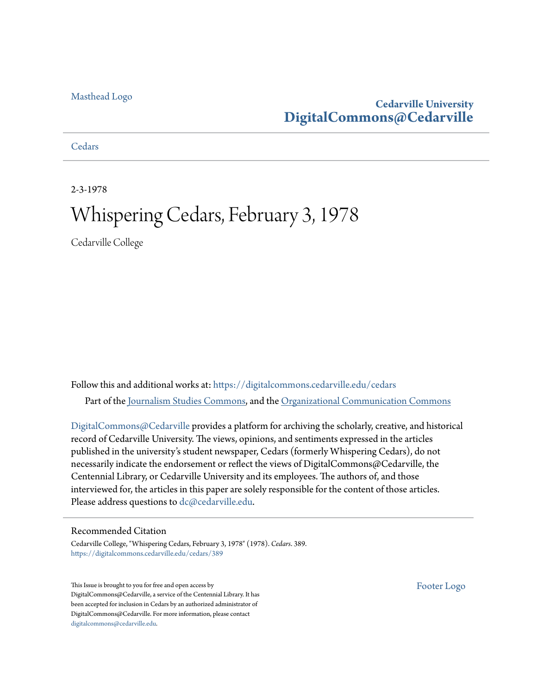### [Masthead Logo](http://www.cedarville.edu/?utm_source=digitalcommons.cedarville.edu%2Fcedars%2F389&utm_medium=PDF&utm_campaign=PDFCoverPages)

### **Cedarville University [DigitalCommons@Cedarville](https://digitalcommons.cedarville.edu?utm_source=digitalcommons.cedarville.edu%2Fcedars%2F389&utm_medium=PDF&utm_campaign=PDFCoverPages)**

**[Cedars](https://digitalcommons.cedarville.edu/cedars?utm_source=digitalcommons.cedarville.edu%2Fcedars%2F389&utm_medium=PDF&utm_campaign=PDFCoverPages)** 

2-3-1978

## Whispering Cedars, February 3, 1978

Cedarville College

Follow this and additional works at: [https://digitalcommons.cedarville.edu/cedars](https://digitalcommons.cedarville.edu/cedars?utm_source=digitalcommons.cedarville.edu%2Fcedars%2F389&utm_medium=PDF&utm_campaign=PDFCoverPages) Part of the [Journalism Studies Commons](http://network.bepress.com/hgg/discipline/333?utm_source=digitalcommons.cedarville.edu%2Fcedars%2F389&utm_medium=PDF&utm_campaign=PDFCoverPages), and the [Organizational Communication Commons](http://network.bepress.com/hgg/discipline/335?utm_source=digitalcommons.cedarville.edu%2Fcedars%2F389&utm_medium=PDF&utm_campaign=PDFCoverPages)

[DigitalCommons@Cedarville](http://digitalcommons.cedarville.edu/) provides a platform for archiving the scholarly, creative, and historical record of Cedarville University. The views, opinions, and sentiments expressed in the articles published in the university's student newspaper, Cedars (formerly Whispering Cedars), do not necessarily indicate the endorsement or reflect the views of DigitalCommons@Cedarville, the Centennial Library, or Cedarville University and its employees. The authors of, and those interviewed for, the articles in this paper are solely responsible for the content of those articles. Please address questions to [dc@cedarville.edu.](mailto:dc@cedarville.edu)

### Recommended Citation

Cedarville College, "Whispering Cedars, February 3, 1978" (1978). *Cedars*. 389. [https://digitalcommons.cedarville.edu/cedars/389](https://digitalcommons.cedarville.edu/cedars/389?utm_source=digitalcommons.cedarville.edu%2Fcedars%2F389&utm_medium=PDF&utm_campaign=PDFCoverPages)

This Issue is brought to you for free and open access by DigitalCommons@Cedarville, a service of the Centennial Library. It has been accepted for inclusion in Cedars by an authorized administrator of DigitalCommons@Cedarville. For more information, please contact [digitalcommons@cedarville.edu](mailto:digitalcommons@cedarville.edu).

[Footer Logo](http://www.cedarville.edu/Academics/Library.aspx?utm_source=digitalcommons.cedarville.edu%2Fcedars%2F389&utm_medium=PDF&utm_campaign=PDFCoverPages)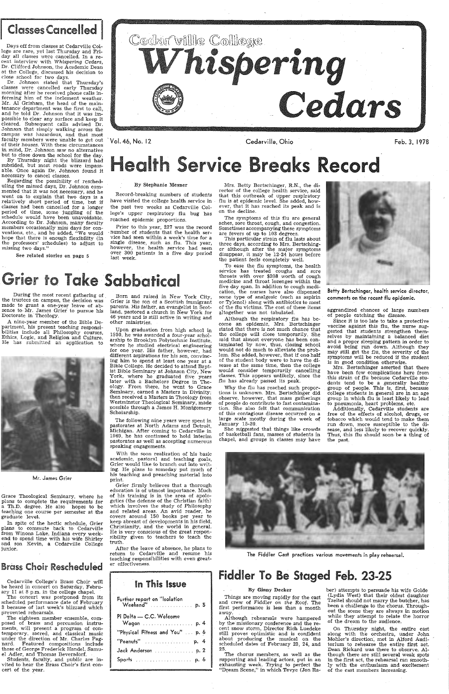### **Classes Cancelled**

Days off from classes at Cedarville College are rare, yet last Thursday and Friday all classes were cancelled. In a recent interview with *Whispering Cedars,*  Dr. Clifford Johnson, the Academic Dean at the College, discussed his decision to close school for two days.

· Vol. 46, No. 12

Cedarville, Ohio **Feb. 3, 1978** 



Dr. Johnson stated that Thursday's classes were cancelled early Thursday morning after he received phone calls informing him of the inclement weather. Mr. Al Grisham, the head of the maintenance· department was the first to call, and he told Dr. Johnson that it was impossible \_to clear any surface and keep it cleared. Subsequent calls advised Dr. Johnson that simply walking across the campus was hazardous, and that most faculty members were unable to get out of their houses. With these circumstances in mind, Dr. Johnson saw no alternative but to close down the school for the day.

By Thursday night the blizzard had subsided, but most roads were impassable. Once again Dr. Johnson found it necessary to cancel classes.

# Health Service Breaks Record

#### By Stephanie Mesner

During the most recent gathering of the trustees on campus, the decision was made to grant a one-year leave of absence to Mr. James Grier to pursue his Doctorate in Theology.

A nine-year member of the Bible Department, his present teaching responsibilities include all Philosophy courses, Ethics, Logic, and Religion and Culture. He has submitted an application to

Grace Theological Seminary, where he plans to complete the requirements for a Th.D. degree. He also hopes to be teaching one course per semester at the graduate level.

Regarding the possibility of rescheduling the missed days, Dr. Johnson commented that *it* was not necessary, and he went on to explain that two days is a relatively short period of time, but if classes had been cancelled for a longer period of time, some juggling of the schedule would have been unavoidable. According to Dr. Johnson, many faculty members occasionally miss days for conventions, etc., and he added, "We would hope that there is enough flexibility (in the professors' schedules) to adjust to missing two days."

See related stories on page 5

Record-breaking numbers of students have visited the college health service in the past two weeks as Cedarville College's upper respiratory flu bug has reached epidemic proportions.

*Prior* to this year, 227 was the record number of students that the health service had seen within a week's time for a single disease, such as flu. This year, however, the health service had seen over 300 patients in a five day period last week.

# Grier to Take Sabbatical



Mr. James Grier

After the leave of absence, he plans to return to Cedarville and resume his teaching responsibilities with even· greater effectiveness.

In spite of the hectic schedule, Grier plans to commute back to Cedarville from Winona Lake, Indiana every weekend to spend time with his wife Shirley and son Kevin, a Cedarville College junior.

### Brass Choir Rescheduled

Cedarville College's Brass Choir will be heard in concert on Saturday, February 11 at 8 p.m. in the college chapel.

This particular strain of flu lasts about three dayS, according to Mrs. Bertschinger although after the major symptoms disappear, it may be 12-24 hours before the patient feels completely well.

To ease the flu symptoms, the health service has treated coughs and sore throats with over \$208 worth of cough medicine and throat lozenges within the five day span. In addition to cough medication, the nurses have also dispensed some type of analgesic (such as aspirin or Tylenol) along with antibiotics to most of the flu victims. The cost of these items altogether was not tabulated.

The concert was postponed- from its scheduled performance date of February 3 because of last week's blizzard which prevented rehearsals.

The eighteen member ensemble, composed of brass and percussion instruments, will present a program of contemporary, sacred, and classical music under the direction of Mr. Charles Pagnard. Featured compositions include those of George Frederick Handel, Samuel Adler, and Thomas Beversdorf.

Students, faculty, and public are invited to hear the Brass Choir's first concert of the year.

Although the respiratory flu has become an epidemic, Mrs. Bertschinger stated that there is not much chance that the college will close temporarily. She said that almost everyone has been contaminated by now, thus, closing school would not do much to alleviate the problem. She added, however, that if one half of the student body were to have the disease at the same time, then the college would consider temporarily cancelling classes. This appears unlikely, since the flu has already passed its peak.

Born and raised in New York City, Grier is the son of a Scottish immigrant parents. His father, an evangelist in Scotland, pastored a church in New York for 46 years and *is* still active in writing and other ministries.

> She suggested that things like crowds of basketball fans, masses of students in chapel, and groups in classes may have



Since *it* is too late to take a protective vaccine against this flu, the nurse suggested that students strengthen themselves by maintaining a balanced diet and a proper sleeping pattern in order to avoid being run down. Although they may still get the flu, the severity of the symptoms will be reduced if the student is in good condition otherwise.

Upon graduation from high school in 1950, he was awarded a four-year scholarship to Brooklyn Polytechnic Institute, where he studied electrical engineering for one year. His father, however, had different aspirations for his son, convincing him to spend at least one year at a Bible College. He decided to attend Baptist Bible Seminary at Johnson City, New York, where he graduated five years later with a Bachelors Degree in Theology. From there, he went to Grace Seminary, earned a Masters in Divinity; then received a Masters in Theology from Westminster Theological Seminary, made possible through a James H. Montgomery Scholarship.

Additionally, Cedarville students are free of the effects of alcohol, drugs, or tobacco which would tend to make them run down, more susceptible to the disease, and less likely to recover quickly. Thus, this flu should soon be a thing of the past.



Things are moving rapidly for the cast and crew of Fiddler on the Roof. The first performance is less than a month away.

The following nine years were spent in pastorates at North Adams and Detroit, Michigan. After coming to Cedarville in 1969, he has continued to hold interim pastorates as we11 as accepting numerous speaking engagements.

With the soon realization of his basic academic, pastoral and teaching goals, Grier would like to branch out into writing. He plans to someday put inuch of his teaching and preaching material into print.

Grier firmly believes that a thorough education is of utmost importance. Much of his training is in the area of apologetics (the defense of the Christian faith) which involves the study of Philosophy and related areas. An avid reader, he covers around 150 books per year to keep abreast of developments in his field, Christianity, and the world in general. He is very conscious of the great responsibility given to teachers to teach the truth.

### In This Issue

| Pi Delta — C.C. Welcome          |
|----------------------------------|
|                                  |
| "Physical Fitness and You"  p. 6 |
| ""Peanuts"  p. 4                 |
| Jack Anderson  p. 2              |
|                                  |

Mrs. Betty Bertschinger, R.N., the director of the college health service, said that this outbreak of upper respiratory flu *is* at epidemic level. She added, however, that it has reached its peak and is on the decline.

The symptoms of this flu are general aches, sore throat, cough, and congestion. Sometimes accompanying these symptoms are fevers of up to 103 degrees.

Why the flu has reached such proportions is unknown. Mrs. Bertschinger did observe, however, that mass gatherings of people do contribute to fast contamination. She also felt that communication of this contagious disease occurred on a large scale mostly during the week of January 15-20.

Betty Bertschinger, health service director, comments on the recent flu epidemic.

aggrandized chances of large numbers of people catching the disease.

Mrs. Bertschinger asserted that there have been few complications here from *this* strain of flu because Cedarville students tend to be a generally healthy group of people. This is, first, because college students in general are in an age group in which flu is least likely to lead to pneumonia, heart problems, etc.

The Fiddler Cast practices various movements in play rehearsal.

### Fiddler To Be Staged Feb. 23-25

### By Ginny Decker

Although rehearsals were hampered by the missionary conference and the recent snow storm, Director Rich Luedeke still proves optimistic and is confident about producing the musical on the scheduled dates of February 23, 24, and 25.

The chorus members, as well as the supporting and leading actors, put in an exhausting week. Trying to perfect the "Dream Scene," in which Tevye (Jon Ra-'

ber) attempts to persuade his wife Golde (Lydia West) that their oldest daughter *Tzeitel* should not marry the butcher, has been a challenge to the chorus. Throughout the scene they are always in motion while they attempt to relate the horror of the dream to the audience.

On Thursday night, the entire cast along with the orchestra, under John Mahler's direction; met in Alford Auditorium to rehearse the entire first act. Dean Rickard was there to observe. Although there are still several weak spots in the first act, the rehearsal ran smoothly with the enthusiasm and excitement of the cast members increasing.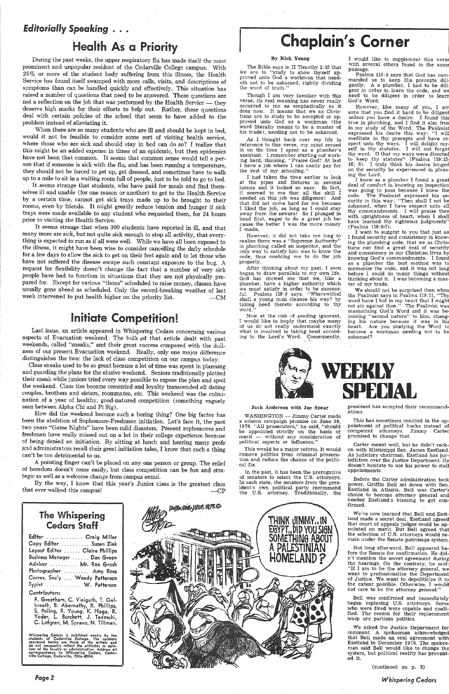### *Editorially Speaking* . . •

## Health As a Priority

During the past weeks, the upper respiratory flu has made itself the most prominent and unpopular resident of the Cedarville College campus. With 25% or more of the student body suffering from this illness, the Health Service has found itself swamped with more calls, visits, and descriptions of symptoms than can be handled quickly and effectively. This situation has raised a number of questions that need to be answered. These questions are not a reflection on the job that was performed by the Health Service - they deserve high marks for their efforts to help out. Rather, these questions deal with certain policies of the school that seem to have added to the problem instead of alleviating it.

When there are so many students who are ill and should be kept in bed, would it not be feasible to consider some sort of visiting health service, where those who are sick and should stay in bed can do so? I realize that this might be an added expense in times of an epidemic, but then epidemics have not been that common. It seems that common sense would tell a person that if someone is sick with the flu, and has been running a temperature, they should not be forced to get up, get dressed, and sometimes have to walk up to a mile to sit in a waiting room full of people, just to be told to go to bed.

It seems strange that students, who have paid for meals and find themselves ill and unable (for one reason or another) to get to the Health Service by a certain time, cannot get sick trays made up to be brought to their rooms, even by friends. It might greatly reduce tension and hunger if sick trays were made available to any student who requested them, for 24 hours prior to visiting the Health Service.

It seems strange that when 300 students have reported in ill, and that many more are sick, but not quite sick enough to stop all activity, that everything is expected to run as if all were well. While we have all been exposed to the illness, it might have been wise to consider cancelling the daily schedule for a few days to allow the sick to get on their feetagain and to let those who have not suffered the disease escape such constant exposure to the bug. A request for flexibility doesn't change the fact that a number of very sick people have had to function in situations that they are not physically prepared for. Except for various "thons" scheduled to raise money, classes have usually gone ahead as scheduled. Only the record-breaking weather of last week intervened to put health higher on the priority list.  $---CM$ 

By the way, I know that this year's Junior. class is the greatest class  $\frac{1}{2}$  that ever walked this campus!  $\frac{1}{2}$   $\frac{1}{2}$   $\frac{1}{2}$   $\frac{1}{2}$   $\frac{1}{2}$   $\frac{1}{2}$   $\frac{1}{2}$   $\frac{1}{2}$   $\frac{1}{2}$   $\frac{1}{2}$   $\frac{1}{2}$   $\frac{1}{2}$   $\frac{1}{2}$   $\frac{1}{2}$   $\frac{1}{2}$   $\frac{1}{2}$   $\frac{1}{2}$   $\frac{1}{2}$ 

**PAPAORIKA VOUS 19786** 

# Chaplain's Corner

## Initiate Competition!

Last issue, an article appeared in Whispering Cedars concerning various aspects of Evacuation weekend. The bulk of that article dealt with past weekends, called "sneaks," and their great success compared with the dullness of our present Evacuation weekend. Really, only one major difference distinguishes the two: the lack of class competition on our campus today.

Class sneaks used to be so great because a lot of time was spent in planning. and guarding the plans for the elusive weekend. Seniors traditionally plotted their sneak while juniors tried every way possible to expose the plan and spoil the weekend. Class ties became cemented and loyalty transcended all dating couples, brothers and sisters, roommates, etc. This weekend was the culmination of a year of healthy, good-natured competition (something vaguely seen between Alpha Chi and Pi Sig).

Now at the risk of souding ignorant, I would like to imply that maybe many of us do not really understand exactly what is involved in taking heed according to the Lord's Word. Consequently,

I would like to supplement this verse with several others found in the same passage.

Psalms 119:4 says that God has commanded us to keep His precepts dili· gently. A a plumber, I had to be dili· gent in order to learn the code, and We need to be diligent in order to learn God's Word.

How did the weekend become such a boring thing? One big factor has been the abolition of Sophomore-Freshman initiation. Let's face it, the past two years "Game Nights" have been mild disasters. Present sophomores and freshmen have really missed out on a lot in their college experience because of being denied an initiation. By sitting at lunch and hearing many profs and administrators recall their great initiation tales, I know that such a thing can't be too detrimental to us.

A pointing finger can't be placed on any.one person or group. The relief of boredom doesn't come easily, but class competition can be fun and strategic as well as a welcome change from campus ennui.

I want to -suggest to you that just as I found security and consistency in knowing the plumbing code, that we as Christians can find a great deal of security and consistency in our Christian lives by knowing God's commandments. I found as a plumber the best method was to memorize the code, and it was not long before I could do many things without thinking about it. I was becoming a master of my trade.

### The Whispering Cedars Staff

| Editor  Craig Miller                                                                                            |  |
|-----------------------------------------------------------------------------------------------------------------|--|
| Copy Editor  Suzan Zink                                                                                         |  |
| Layout Editor  Claire Phillips                                                                                  |  |
| Business Manager  Dan Green                                                                                     |  |
| Advisor  Mr. Ron Grosh                                                                                          |  |
| Photographer  Amy Ross                                                                                          |  |
| Corres. Sec'y  Wendy Patterson                                                                                  |  |
| Typist  W. Patterson                                                                                            |  |
| the contract of the contract of the contract of the contract of the contract of the contract of the contract of |  |

### Contributors:

WASHINGTON - Jimmy Carter made a solemn campaign promise on June 16, 1976. "All prosecutors," he said, "should be appointed strictly on the basis of merit - without any consideration of political aspects or influence."

F. Greetham, C. Vieiguth, T. Galbreath, B. Abernathy, R. Phillips, S: Poling, R. Young, K. Haga, R. Yoder, L. Burchett, J. Tedeschi, C. Lofgren, M. Sprano, N. Til!man.

Whispering Cedars is published weekly by the<br>students of Cedarville College. The opinions expressed herein are those of the writers and<br>do not necessarily reflect the attitudes or opinions of the faculty or administration. Address all<br>correspondence to Whispering Cedars, Cedar-<br>ville College, Cedarville, Ohio 45314.

Carter meant well, but he didn't reckon with Mississippi Sen. James Eastland. As judiciary chairman, Eastland has jurisdiction over the Justice Department. He doesn't hesitate to use his power to stall appointments.

*Pagel* 

### By Rich Young

The Bible says in II Timothy 2:15 that We are to "study to show thyself approved unto God a workman that needeth not to be ashamed, rightly dividing the word of truth."

Though I am very familiar with this verse, its real meaning has never really occurred to me as emphatically as it does now. It means that we as Christians are to study to be accepted or approved unto God as a workman (the word literally means to be a master of his trade), needing not to be ashamed.

> Bell was confirmed and immediately began replacing U.S. attorneys. Some who were fired were capable and qualified. The reason for their replacement wasp ure partisan politics.

As I thought back over my life in reference to this verse, my mind zeroed in on the time I spent as a plumber's assistant. I remember starting out working hard, thinking, "Praise God! At last I have a job where I can easily pay for the rest of my schooling.''

I had taken the time earlier to look at the pipes and fixtures in several homes and it looked so easy. In fact, it seemed to me that all the skill I needed on this job was diligence! And that did not come hard for me because I liked the job, as long as I could stay away from the sewers! So I plunged in head first, eager to do a great job because the better I was the more money I made.

However, it did not take me long to realize there was a "Supreme Authority" in plumbing called an inspector, and the only way to satisfy him was to know the code, thus enabling me to do the job properly.

After thinking about my past, I soon began to draw parallels to my own life. God has showed me that we, like a plumber, have a higher authority which we must satisfy in order to be successful. Psalms 119:9 says, "Wherewithal shall a young man cleanse his way? by taking heed thereto according to thy word.''

However, like many of you, I am sure that you find it hard to be diligent unless you have a desire. I found this true in plumbing, and I find it also true in my study of the Word. The Psalmist expressed his desire this way: "I will meditate in thy precepts and have respect unto thy ways. I will delight myself in thy statutes. I will not forget thy word. O that my ways were directed to keep thy statutes" (Psalms 119:15-16; 8). I truly think his desire hinged on the security he experienced in pleasing the Lord.

I know as a plumber I found a great deal of comfort in knowing an inspection was going to pass because I knew the code. The Psalmist expressed his security in this way: "Then shall I not be ashamed, when I have respect unto all thy commandments. I will praise thee with uprightness of heart, when I shall have learned thy righteous judgments" (Psalms 119 :6-7).

We should not be surprised then when the Psalmist says in Psalms 119:11, "Thy word have I hid in my heart that I might not sin against thee." The Psalmist was memorizing God's Word and it was becoming "second nature'' to him, changing his nature because it was in his heart. Are you studying the Word to become a workman needing not to be ashamed?



#### Jack Anderson with Joe Spear

This would be a major reform. It would remove politics from criminal prosecution and reduce the chance of the political fix.

In the past, it has been the prerogative of senators to select the U.S. attorneys. In' each state, the senators from the president's own political party recommend the U.S. attorney. Traditionally, the



president has accepted their recommendations.

This has sometimes resulted in the appointment of political hacks instead of competent attorneys. Jimmy Carter promised to change that.

Before the Carter administration took power, Griffin Bell sat down with Sen. Eastland in Atlanta. Bell was Carter's choice to- become attorney general and needed Eastland's· blessing to get confirmed.

We've now learned that Bell and Eastland made a secret deal. Eastland agreed that court of appeals judges could be appointed on metit. But Bell agreed that the selection of U.S. attorneys would remain under the Senate patronage system.

Not long afterward, Bell appeared before the Senate for confirmation. He did<sup>n</sup>'t mention the secret agreement during the hearings. On the contrary, he said: "If I am to be the atto:rney general, we want to professionalize the Department of Justice. We want to depoliticize it to the extent possible. Otherwise, I would not care to be the attorney general."

We asked the Justice Department for comment. A spokesman acknowledged that Bell made an oral agreement with Eastland in December 1976. The spokesman said Bell would like to change the system, but political reality has prevented it.

( continued on p. 3)

*Whispering Cedars*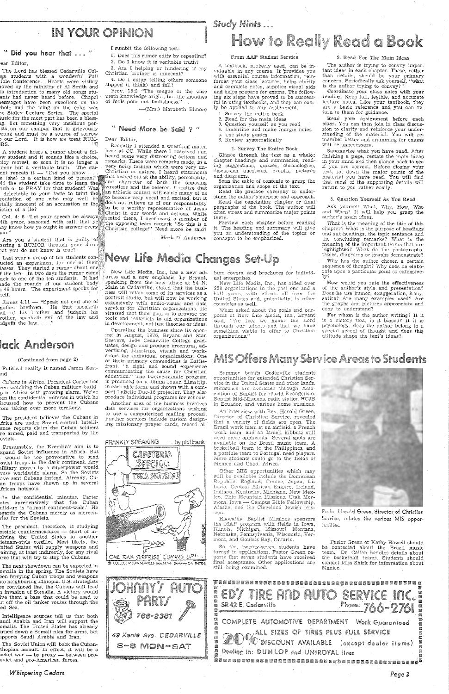### IN YOUR OPINION

### " Did you hear that ... "

### ear Editor,

The Lord has blessed Cedarville Col ege students with a wonderful Fall ible Conference. Hearts were visibly 1oved by the ministry of Al Smith and is introduction to many old songs stuents had never heard before. Chapel  $^{\circ}$ 1esssages have been excellent on the rhole and the icing on the cake ·was 1e Staley Lecture Series. The special  $t$  usic for the most part has been a bless-1g. Yet something very insidious persts on our campus that is grievously  $r$ rong and must be a source of so $r$ row o our Lord. It is how *we* treat RUM- $\textbf{R}\textbf{S}.$  . The contribution of the contribution of the contribution of the contribution of the contribution of the contribution of the contribution of the contribution of the contribution of the contribution of the c

1. Does this rumor edify by repeating? 2. Do I know it is veritable truth?

3. Am I helping or hindering if my Christian brother is innocent?

4. Do I enjoy telling others someone slipped (I think) and fell?

Prov. 15:2 "The tongue of the wise useth knowledge aright; but the mouthes of fools pour out foolishness."

-(Mrs.) Marabeth Elmore

Recently I attended a wrestling match here at CC. While there I observed and by student and it sounds like a choice, heard some very distressing actions and licy morsel, so soon it is no longer a strain is a feeliver examined in a remarks. There were remarks made, in a very noisy fashion which were very un-Christian in nature. I heard statements ent repeats it  $-$  bid you have  $\ldots$  that lashed out at the ability, personality,  $\epsilon$  (she) is a certain kind of person?" id the student take time to learn the and character of both the opposing uth or to PRAY for that student? Was wrestlers and the referee. I realize that delectable to your taste to taint the ... wrestlers and the referee. I realize that students and the referee. I realize that delectable to your taste to taint the "i" athletic contest will cause many of us pputation of one who may well be  $\mathbb{R}^n$  become very vocal and excited, but it )tally innocent of an accusation or the  $\mathbb{Z}^2$  accuse not relieve us of our responsibility ictim of a lie? lie:  $\frac{1}{2}$  lie:  $\frac{1}{2}$  a worthy representative of Jesus Christ in our words and actions. While<br>Col. 4: 6 "Let your speech be always" seated there, I overheard a member of<br>ith grace, seasoned with salt, that yet the opposing team remark "So this is a

—Mark D. Anderson

## Last year a group of ten students con-**New Life Media Changes Set-Up**

A student hears a rumor about a fel- $\frac{1}{2}$  and  $\frac{1}{2}$  veritable truth. The stuncture repeats it  $\frac{1}{2}$  "Did you know

lay know how ye ought to answer every $\mathbb{E}^m_\mathbb{R}$ Christian college!" Need more be. said?  $\tan$ . P,; $\sin$ ,  $\tan$ ,  $\tan$ ,  $\tan$ ,  $\tan$ ,  $\tan$ ,  $\tan$ ,  $\tan$ ,  $\tan$ ,  $\tan$ ,  $\tan$ ,  $\tan$ ,  $\tan$ ,  $\tan$ ,  $\tan$ ,  $\tan$ ,  $\tan$ ,  $\tan$ ,  $\tan$ ,  $\tan$ ,  $\tan$ ,  $\tan$ ,  $\tan$ ,  $\tan$ ,  $\tan$ ,  $\tan$ ,  $\tan$ ,  $\tan$ ,  $\tan$ ,  $\tan$ ,  $\tan$ ,  $\tan$ ,  $\tan$ ,  $\tan$ ,  $\tan$ ,  $\t$ 

Are you a student that is guilty of assing a RUMOR through your dormi $\mathbb{R}^3$ nat you do not know is true?

### " Need More be Said ? "

#### Dear Editor,

- 2. Read for the main ideas
- Question yourself as you read 4. Underline and make margin notes
- 5. Use study guides
- 6. Review systematically

#### 1. Survey The Entire Book

Glance through the text as a whole: chapter headings and summaries, reading suggestions, quizzes, chronologies, discuss-ion questions, graphs, pictures and diagrams.

Scan the table of contents to grasp the organization and scope of the text.

Read the preface carefully to understand the author's purpose and approach.

Read the concluding chapter or final pargraphs of the book. The author \Vill often stress and summarize major points there.

Preview each chapter before reading it. The heading and summary will give you an understanding of the topics or concepts to be emphasized.

lasses. They started a rumor about one $\stackrel{b}{\scriptscriptstyle \sim}$ f the ten. In two days the rumor came: ack to one of the ten students. It had  $1$ ade the rounds of our student body 1 48 hours. The experiment speaks for self. '

James 4:11 --- "Speak not evil one of nother brethren. He that speaketh vil of his brother and judgeth his rother, speaketh evil of the law and ...<br>1dgeth the law, ..."

Political reality is named James East-Llld.

Cubans in Africa: President Carter has een watching the Cuban military buildp in Africa with growing alarm. We've ~en the confidential minutes in which he iscussed how to prevent the Cubans *:om* taking over more territory.

### *Study* flints

A textbook, properly used, can be invaluable in any course. It provides you with essential course information, reinforces your class lectures, helps clarify and complete notes, supplies visual aids and helps prepare for exams. The following six steps have proved to be successful in using textbooks, and they can easily be applied *to* any assignment.

1. Survey the entire book

The next showdown can be expected in omalia in the spring. The Soviets have een ferrying Cuban troops and weapons tto neighboring Ethiopia. U.S. strategists re convinced that the Cubans will lead :i invasion of Somalia. A victory vvould ive them a base that cou1d be used to 1t off the oil tanker routes through ·the ed Sea.

New Life Media, Inc., has a new ad-*{* dress and a new emphasis. Ty Bryant, speaking from the new office at 84 N. Main in Cedarville, stated that the business will retain some of its services as a portrait studio, but will now be working extensively with audio-visual and data services for Christian organizations. He .stressed that their goal is to provide the tools and materials to aid organizations in development, not just theories or ideas.

Operating the business since its opening in August, 1976, Bryant and Stan Seevers, 1964 Cedarville College graduates, design and produce brochures, advertising, filmstrips, visuals and workshops for individual organizations. One of their primary commodities is Battlefront, "a sight and sound experience communicating the cause for Christian education." The twelve-minute program is produced on a 16mm sound filmstrip, in cartridge form, and shown with a compact LaBelle Duo-16 projector. They also produce individual programs for schools.

Another area of the business involves data services for organizations wishing to use a computerized mailing process. Further services include custom designing missionary prayer cards, record al-

New Life Media, Inc., has aided over 220 organizatiqns in the past one and a half years, with clients all over the United States and, potentially, in other countries as vvell.

When asked about the goals and purposes of New Life Media, Inc., Bryant said, "We feel we honor the Lord through our talents and that we have something viable to offer to Christian organizations.''

### 2. Read For The Main Ideas

## lack Anderson

#### (Continued from page 2)

The president believes the Cubans in J:rica are under Soviet control. Intellience reports claim· the Cuban soldiers re armed, paid and transported by the oviets.

The author is trying to convey important ideas in each chapter. These, rather than details, should be your primary concern. Periodically ask yourself, "what is the author trying to convey?"

Presurnably, the Kremlin's aim is to xpand Soviet influence in Africa. But  $\sim$  would be too provocative to send oviet troops to the dark continent. Any 1ilitary moves by a superpower would ause worldwide alarm. So the Soviets ave sent Cubans instead. Already, Cuan troops have shown up in several .frican hotspots.

Coordinate your class notes with your reading. Keep full, legible, and accurate lecture notes. Like your textbook, they are a basic reference and you can return to them for guidance.

Read your assignment before each class. You can then join in class discussion to clarify· and reinforce your understanding of the material. You will remember better and cramming for exams will be unnecessary.

In the confidential minutes, Carter otes aprehensively that the Cuban<br>uild-up-is "almost-continent-wide." He<br>egards the Cubans merely as mercenries for the Soviets.

### I sumbit the following test:

Summarize what you have read. After finishing a page, restate the main ideas in your mind and then glance back to see if you are correct. Before closing your text, jot down the major points of the material you have read. You will find that most of the supporting details will return to you rather easily.

#### 3. Question Yourself As You Read

Ask yourself What, Why, How, Who and When? It will help you grasp the author's main ideas.

What is the meaning of the title of this chapter? What is the purpose of headings and sub-headings, the topic sentence and the concluding remarks? What is the meaning of the important terms that are highlighted? What do the photographs, tables, diagrams or graphs demonstrate?

The president, therefore, is studying ossible countermeasures — short of in-Jlving the United States in another ietnam-style conflict. Most likely, the nited States will supply weapons and ·aining, at least indirectly, for any rival >rce that will try to stop the Cubans.

Why has the author chosen a certain sequence of thought? Why does he elaborate upon a particular point so extensively?

How would you rate the effectiveness of the author's style and presentation? Does he use hurnor, exaggeration, irony, satire? Are 1nany examples used? Are the graphs and pictures appropriate and easy to understand?

For whom is the author writing? If it is a history text, is it biased? If it is psychology, does the author belong to a special school of thought and does this attitude shape the text's ideas?

## MIS Offers Many Service Areas to Students

Summer brings Cedarville students opportunities for extended. Christian Service in the United States and other lands. Ministries are available through Association *oi* Baptist for TVorld Evangelism, Baptist Mid-Missions, radio station HCJB in Ecuador, and various home missions.

An interview with Rev. Harold Green, Director of Christian Service, revealed that a variety of fields are open. The Brazil work team at an airfield, a French work team, and an Israeli kibbutz still need mere applicants. Several spots are available on the Brazil music team. A basketball team to the Philippines, and a possible team to Portugal need players. More students could go to the fields of Mexico and Chad. Africa.

Other MIS opportunities which may still be available include the Dominican Republic, England, France, Japan, Liberia, Central African Empire, Ireland, Indiana, Kentucky, Michigan, New Mexico, Ohio Mountain Missions, Utah Mormons. Jowa -- Campus Bible Fellowship. Alaska, and the Cleveland Jewish Mis-



Intelligence sources tell us that both audi Arabia and Iran will support the omalis. The United States has already 1rned down a Somali plea for arms, but 1pports Saudi Arabia and Iran.

The Soviet Union will back the Cubanthopian assault. In effect, it will be a ocket war — by proxy — between prooviet and pro-American forces.

*Whispering Cedars* 



# How to Really Read a Book

#### From AAP Student Service



310n.

Hiawatha Baptist Missions sponsors the MAP program with fields in Iowa,<br>Illinois, Michigan, Missouri, Montana,<br>Nebraska, Pennsylvania, Wisconsin, Vermont, and Goulais Bay, Ontario.

So far, twenty-seven students have turned in applications. Pastor Green reports that seven students have received final acceptance. Other applications are still being examined.

Pastor Harold Green, director of Christian Service, relates the various MIS opporfunities.

Pastor Green or Kathy Howell should be contacted about the Brazil music team. Dr. Callan handles details about the basketball teams. Students should contact Miss Shirk for information about Mexico.

SERVICE HUTO  $P_{\text{None}}$  766-2761 SR42E. Cederville COMPLETE AUTOMOTIVE DEPARTMENT Work Guarantoed 闙 ALL SIZES OF TIRES PLUS FULL SERVICE U DISCOUNT AVAILABLE (except dealer items) Dealing in: DUNLOP and UNIROYAL fires .<br>顾隔楼区的南部高高学校的高级美国的高峰高峰高峰高级高峰高峰高峰高峰高峰高峰高峰高峰。

burn covers, and brochures for individual enterprises.

*Page 3*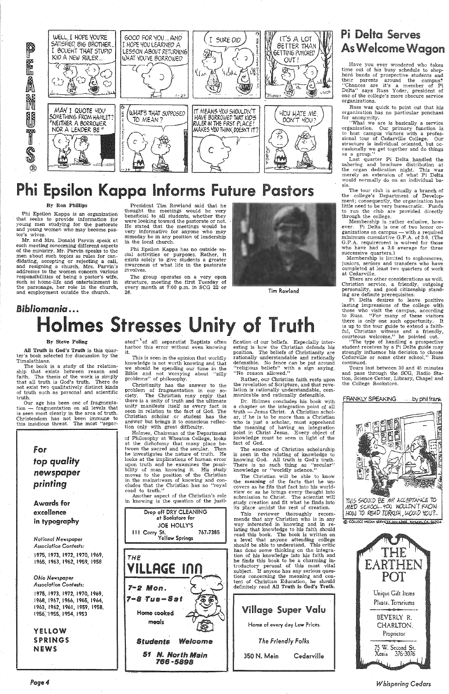

# Phi Epsilon Kappa Informs Future Pastors

### By Ron Phillips

Phi Epsilon Kappa is an organization that seeks to provide information for young men studying for the pastorate and young women who may become pastor's wives.

President Tim Rowland said that he thought the meetings would be very beneficial to all students, whether they were looking toward the pastorate or not. He stated that the meetings would be very informative for anyone who may someday be in any position of leadership in the local church.

Mr. and Mrs. Donald Parvin speak at each meeting concerning different aspects of the ministry. Mr. Parvin speaks to the men about such topics as rules for candidating, accepting or rejecting a call, and resigning a church. Mrs. Parvin's addresses to the women concern various responsibilities of being a pastor's wife, such as home-life and entertainment in the parsonage, her role in the church, and employment outside the church.

All Truth is God's Truth is this quarter's book selected for discussion by the Timalathians.

# *Bibliomania ••.*  Holmes Stresses Unity of Truth

ated" of all separatist Baptists often harbor this error without even knowing it.

Phi Epsilon Kappa has no outside social activities or purposes. Rather, it exists solely to give students a greater awareness of what life in the pastorate involves.

The group operates on a very open structure, meeting the first Tuesday of every month at 7:00 p.m. in SCG 22 or



Tim Rowland

#### By Steve Poling

The book is a study of the relationship that exists between reason and faith. The thesis of the work is simply that all truth is God's truth. There do not exist two qualitatively distinct kinds of truth such as personal and scientific truth.

fication of our beliefs. Especially interesting is how the Christian defends his position. The beliefs of Christianity are rationally understandable and rationally defensible. No fence can be put around "religious beliefs" with a sign saying, "No reason allowed."

Our age has been one of fragmentation - fragmentation on all levels that is seen most clearly in the area of truth. Christendom has not been immune to this insidious threat. The most "separ-

> for *top quality*  newspaper *printing*

Awards for excellence in typography

*National Newspaper Association Contests:* 

Dr. Holmes concludes his book with a chapter on the integration point of all<br>truth — Jesus Christ. A Christian scholar, if he is *to·* be more than a Christian who is just a scholar, must apprehend the meaning of having an integration point in Christ Jesus. Every object of knowledge must be seen in light of the fact of God.

1975, 1973, 1972, 1970, 1969, 1965, 1963, 1962, 1959, 1958

*Ohio Newspaper Association Contests:* 

1975, 1973, 1972, 1970, 1969, 1968, 1967, 1966, 1965, 1964, 1963, 1962, 1961, 1959, 1958, I 956~-1955, 1954, 1953

YELLOW SPRINGS **NEWS** 



This is seen in the opinion that worldly knowledge js not worth knowing and that we should be spending our time in the Bible and not worrying about "silly problems" of philosophy.

> The Christian will be able to know the meaning of the facts that he uncovers as he fits that fact into his worldview or as he brings every thought into submission to Christ. The scientist will study creation and fit what he finds into its place amidst the rest of creation. This reviewer thoroughly recommends that any Christian who is in any way interested in knowing and in relating that knowledge to his faith should read this book. The book is written on a level that anyone attending college should be able to understand. This critic has done some thinking on the integration of his lmowledge into his faith and he finds this book to be a charming introductory perusal of this most vital subject. If anyone has any serious questions concerning the meaning and content of Christian Education, he should definitely read All Truth is God's Truth. Village Super Valu Home of every day low Prices *The Friendly Folks*  350 N. Main Cedarville

Christianity has the answer to the problem of fragmentation in our society. The Christian may reply that there is a. unity of truth and the ultimate unity manifests itself as every fact is seen in relation to the fact of God. The Christian scholar . or student has the answer but brings it to conscious reflection only with great difficulty.

Holmes, Chairman of the' Department of Philosophy at Wheaton College, looks at the dichotomy that many place between the sacred and the secular. Then he investigates the nature of truth. He looks at the implications of human error upon truth and he examines the possibility of man knowing it. His study moves to the position of the Christian in the mainstream of knowing and concludes that the Christian has no "royal road to truth.''

Another aspect of the Christian's role in knowing is the question of the justi-



Pi Delta desires to leave positive lasting impressions of the college with those who visit the campus, according to Russ. "For many of these visitors there is only one such opportunity. It is up to the tour guide to extend a faithful, Christian witness and a friendly, courteous welcoine," he pointed out.

"The type of handling a prospective student receives by a Pi Delta guide may strongly influence his decision to choose Cedarville or some other school," Russ continued.

Rather, our Christian faith rests upon the revelation of Scripture, and that revelation is rationally understandable, communicable and rationally defensible.

The essence of Christian scholarship is seen in the relating of knowledge to knowing God. All truth is God's truth. There is no such thing as "secular" knowledge or "worldly science."

### Pi Delta Serves As Welcome Wagon

Have you ever wondered who takes time out of his busy schedule to shepherd bands of prospective students and their parents around the campus?<br>''Chances are it's a member of Pi Delta" says Russ Yoder, president of one of the college's more obscure service organizations.

Russ was quick to point out that his organization has no particular penchant for anonymity.

''What we are is basically a service organization. Our primary function is to host campus visitors with a professional tour of Cedarville College. Our structure is individual oriented, but occasionally we get together and do things as a group."

Last quarter Pi Delta handled the ushering and brochure distribution at the organ dedication night. This was merely an extension of what Pi Delta would normally do on an individual basis.

The tour club is actually a branch of the college's Department of Development; consequently, the organization has little need to be very bureacratic. Funds to run the club are provided directly through the college.

Membership is rather exlusive, how-ever. Pi Delta is one of two honor organizations on campus - with a required minimum cumulative G.P .A. of 3.0. (The G.P.A. requirement is waived for those who have had a 3.0 average for three successive quarters.)

Membership is limited to sophomores, juniors, seniors and transfers who have completed at least two quarters of work at Cedarville.

There are other considerations as well. Christian service, a friendly, outgoing personality, and good citizenship standing are definite prerequisites.

Tours last between 30 and 45 minutes and pass through the SCG, Radio Station, Science Center, Library, Chapel and the College Bookstore.



*Whispering Cedars*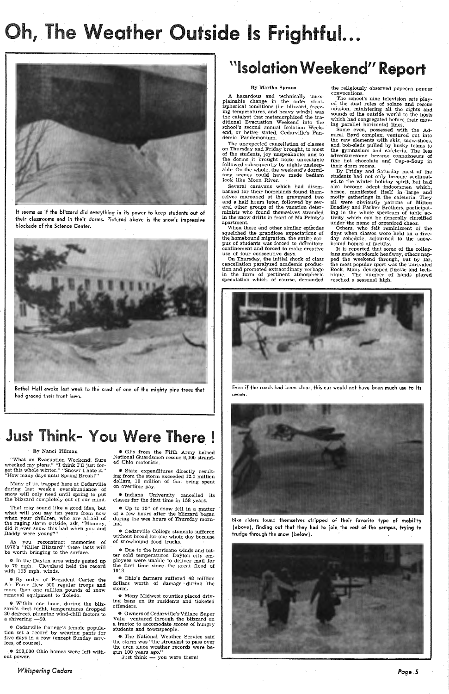Bethel Hall awoke last week to the crash of one of the mighty pine trees that had graced their front lawn.

# Oh, The Weather Outside Is Frightful...



It seems as if the blizzard did everything in its power to keep students out of their classrooms and in their dorms. Pictured above is the snow's impressive blockade of the Science Center.



Many of us, trapped here at Cedarville during last week's overabundance of snow will only need until spring to put the blizzard completely out of our mind.

# Just Think- You Were There!

### By Nanci Tillman

As you reconstruct memories of 1978's "Killer Blizzard" these facts will be worth bringing to the surface.

"What an Evacuation Weekend! Sure wrecked my plans." "I think I'll just forget this whole winter." "Snow? I hate it." "How many days until Spring Break?"

e Within one hour, during the blizzard's first night, temperatures dropped 20 degrees, plunging wind-chill factors to a shivering  $-60$ .

Thaf may sound like a good idea, but

<sup>0</sup> 200,000 Ohio homes were left without power.

what will you say ten years from now when your children, who are afraid of the raging storm outside, ask, "Mommy, did it. ever snow this bad when you and Daddy were young?"

Up to  $15$ " of snow fell in a matter of a few hours after the blizzard began during the wee hours of Thursday morning.

# ''Isolation Weekend'' Report

e In the Dayton area winds gusted up to 79 mph. Cleveland held the record with 103 mph. winds.

> $\bullet$  Ohio's farmers suffered 48 million dollars worth of damage during the storm.

e By order of President Carter the Air Force flew 500 regular troops and more than one million pounds of snow removal equipment to Toledo.

<sup>\*</sup> Many Midwest counties placed driving bans on its residents and ticketed offenders.

e Cedarville College's female population set a record by wearing pants for five days in a row (except Sunday services, of course).

*Whispering Cedars* 

• GI's from the Fifth Army helped National Guardsmen rescue 6,000 stranded Ohio motorists.

• State expenditures .directly resulting from the storm exceeded 12.5 million dollars, 10 million of that being spent on overtime pay.

• Indiana University cancelled its classes for the first time in 158 years.

When these and other similar episodes squelched the grandiose expectations of the homebound migration, the entire corpus of students was forced to dormitory confinement and forced to make creative use of four consecutive days.

• Cedarville College students suffered without bread for one whole day because of snowbound food trucks.

e Due to the hurricane winds and bitter cold temperatures, DaYton city employees were- unable to deliver mail for the first time since the great flood of 1913.

Some even, possessed with the Admiral Byrd complex, ventured out ·into the raw elements with skis, snow-shoes, and bob-sleds pulled by husky teams to the gymnasium and cafeteria. The less adventuresome became connoisseurs of fine hot chocolate and Cup-a-Soup in their dorm rooms.

@ Owners of Cedarville's,Village Super Vaju ventured through the blizzard on a tractor to accomodate scores of hungry students and townspeople.

• The National Weather Service said the storm was "the strongest to pass over the area since weather records were begun 100 years ago."

Just think — you were there!

### By Martha Sprano

A hazardous and technically unexplainable change in the outer stratispherical conditions (i.e. blizzard, freezing temperatures, and heavy winds) was the catalyst that metamorphized the traditional Evacuation Weekend into the school's second annual Isolation Weekerid, or better stated, Cedarville's Pandemic Pandemonium.

The unexpected cancellation of classes on Thursday and Friday brought, to most of the students, joy unspeakable; and to the dorms it brought noise unbeatable followed subsequently by nights unsleepable. On the whole, the weekend's dormitory scenes could have made bedlam look like Moon River.

Several caravans which had disembarked for their homelands found themselves marooned at the graveyard two and a half hours later, followed by several other groups of the vacation determinists who found themselves stranded in the-snow drifts in front of Ma Printy's apartment.

On Thursday, the initial shock of class cancellation paralyzed academic production and promoted extraordinary verbage in the form of pertinent atmospheric speculation which, of course, demanded the religiously observed popcorn popper convocations.

The school's nine television sets played the dual roles of solace and rescue mission, ministering all the sights and sounds of the outside world to the hosts which had congregated before their moving parallel horizontal lines.

By Friday and Saturday most of the students had not only become acclimated, to the winter holiday spirit, but had also become adept indoorsmen which, hence, manifested itself in large and motly gatherings in the cafeteria. They all were obviously patrons of Milton Bradley and Parker Brothers, participating in the whole spectrum of table activity which can be generally classified under the name of organized chaos.

Others, who felt reminiscent of the days when classes were held on a fiveday schedule, sojourned to the snowbound homes of faculty.

It is reported that some of the collegians made academic headway, others napped the weekend through, but by far, the most popular sport was the unrivaled Rook. Many developed finesse and technique. The number of hands played reached a seasonal high.



Even if the roads had been clear, this car would not have been much use to its owner.



Bike riders found themselves stripped of their favorite type of mobility (above), finding out that they had to join the rest of the campus, trying to trudge through the snow (below).



*Page.5*